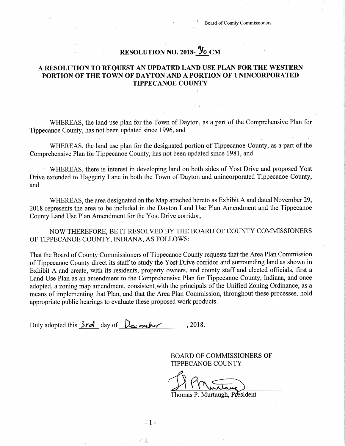## RESOLUTION NO. 2018- 36 CM

## A RESOLUTION TO REQUEST AN UPDATED LAND USE PLAN FOR THE WESTERN PORTION OF THE TOWN OF DAYTON AND A PORTION OF UNINCORPORATED TIPPECANOE COUNTY

WHEREAS, the land use plan for the Town of Dayton, as a part of the Comprehensive Plan for Tippecanoe County, has not been updated since 1996, and

WHEREAS, the land use plan for the designated portion of Tippecanoe County, as a part of the Comprehensive Plan for Tippecanoe County, has not been updated since 1981, and

WHEREAS, there is interest in developing land on both sides of Yost Drive and proposed Yost Drive extended to Haggerty Lane in both the Town of Dayton and unincorporated Tippecanoe County, and

WHEREAS, the area designated on the Map attached hereto as Exhibit <sup>A</sup> and dated November 29, <sup>2018</sup> represents the area to be included in the Dayton Land Use Plan Amendment and the Tippecanoe County Land Use Plan Amendment for the Yost Drive corridor,

NOW THEREFORE, BE IT RESOLVED BY THE BOARD OF COUNTY COMMISSIONERS OF TIPPECANOE COUNTY, INDIANA, AS FOLLOWS:

That the Board of County Commissioners of Tippecanoe County requests that the Area Plan Commission of Tippecanoe County direct its staff to study the Yost Drive corridor and surrounding land as shown in Exhibit A and create, with its residents, property owners, and county staff and elected officials, first a Land Use Plan as an amendment to the Comprehensive Plan for Tippecanoe County, Indiana, and once adopted, a zoning map amendment, consistent, with the principals of the Unified Zoning Ordinance, as a means of implementing that Plan, and that the Area Plan Commission, throughout these processes, hold appropriate public hearings to evaluate these proposed work products.

 $-1-$ 

新藤

Duly adopted this  $3rd$  day of  $De$  mbsr , 2018.

BOARD OF COMMISSIONERS OF TIPPECANOE COUNTY

HMuntane) Murtane)

Thomas P. Murtaugh, P**d**esident